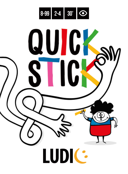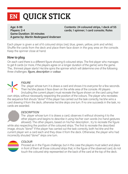# EN QUICK STICK

Age: 8-99 Players: 2-4 **Game Duration: 30 minutes** A game by: Martin Nedergaard Andersen Contents: 24 coloured strips, 1 deck of 55 cards: 1 spinner: 1 card console: Rules

Each player is given a set of 6 coloured strips (red. blue, green, yellow, pink and white). Shuffle the cards from the deck and place them face down in the gray area on the console. Keep the spinner close at hand.

## How to play

On each card there is a different figure showing 6 coloured strips. The first player who manages to get 8 cards (or more, if the players agree on a longer duration of the game) wins the game. The... thinnest player starts! He/she spins the spinner which will determine one of the following three challenges: figure, description or colour.



## **FIGURE**

The player whose turn it is draws a card and shows it to everyone for a few seconds. Then he/she places it face down on the white area of the console. All players (including the current player) must recreate the figure shown on the card using their

own strips, without necessarily respecting the position of the colours. The player who recreates the sequence first shouts "done!" If the player has carried out the task correctly, he/she wins a card drawing it from the deck, otherwise he/she skips one turn. If no one succeeds in the task, no cards are awarded.

### **DESCRIPTION**

The player whose turn it is draws a card, observes it without showing it to the other players and begins to describe it using his/her own words (no hand gestures allowed). The other players, based on his/her description, try to recreate the figure while also respecting the position of the coloured strips. The first to recreate the described image, shouts "done!" If the player has carried out the task correctly, both he/she and the current player win a card each and they draw it from the deck. Otherwise, the player who had incorrectly shouted "done!" skips one turn.



#### COLOUR

Proceed as in the Figure challenge, but in this case the players must select and place in front of them all those coloured strips that, in the figure of the observed card, do not touch the coloured strip represented on the back of the card at the top of the deck.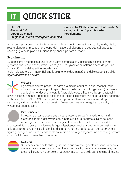## **QUICK STICK IT**

 $F^{\dagger}$ à: 8-99 Giocatori: 2-4 Durata: 30 minuti Un gioco di: Martin Nedergaard Andersen Contenuto: 24 stick colorati: 1 mazzo di 55 carte: 1 spinner: 1 plancia carte: Regolamento

A ciascun giocatore si distribuisce un set di 6 bastoncini colorati (rosso, blu, verde, giallo, rosa e bianco). Si mescolano le carte del mazzo e si dispongono coperte nell'apposito spazio grigio della plancia. Si tiene lo spinner a portata di mano.

## Svolgimento

Su ogni carta è rappresenta una figura diversa composta da 6 bastoncini colorati. Il primo giocatore che riesce a conquistare 8 carte (o più, se i giocatori si mettono d'accordo per una durata più lunga della partita) vince la gara.

Inizia il giocatore più... magro! Egli gira lo spinner che determinerà una delle seguenti tre sfide: figura, descrizione e colore.



## **FIGURA**

Il giocatore di turno pesca una carta e la mostra a tutti per alcuni secondi. Poi la ripone coperta nell'apposito spazio bianco della plancia. Tutti i giocatori (compreso quello di turno) devono ricreare la figura della carta utilizzando i propri bastoncini.

senza necessariamente rispettare la posizione dei colori. Il giocatore che ricrea la figura per primo lo dichiara dicendo "Fatto!". Se ha eseguito il compito correttamente vince una carta prendendola dal mazzo, altrimenti salta il turno successivo. Se nessuno riesce ad eseguire il compito, non vengono assegnate carte.

## **DESCRIZIONE**

Il giocatore di turno pesca una carta, la osserva senza farla vedere agli altri giocatori e inizia a descrivere con le parole la figura riportata sulla carta (sono vietati i gesti con le mani). Gli altri giocatori, sulla base della descrizione del giocatore di turno, provano a ricreare la figura rispettando anche la posizione dei bastoncini colorati. Il primo che ci riesce, lo dichiara dicendo "Fatto!" Se ha riprodotto correttamente la figura guadagna una carta prendendola dal mazzo e ne fa guadagnare una anche al giocatore di turno. Altrimenti rimane fermo un turno.



### COLORE

Si procede come nella sfida Figura, ma in questo caso i giocatori devono prendere e mettere davanti a sé i bastoncini colorati che, nella figura della carta osservata, non toccano il bastoncino del colore rappresentato sul retro della carta in cima al mazzo.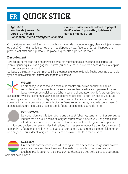# **FR QUICK STICK**

Age: 8-99 Nombre de joueurs : 2-4 Durée : 30 minutes **Conception : Martin Nedergaard Andersen** 

Contenu: 24 bâtonnets colorés : 1 paquet de 55 cartes : 1 girouette : 1 plateau à cartes : Règles du jeu

On distribue un set de bâtonnets colorés à chacun des joueurs (rouge, bleu, vert, jaune, rose et blanc). On mélange les cartes et on les dépose en tas, face cachée, sur l'espace gris prévu à cet effet sur le plateau. On place la girouette à portée de main.

## Déroulement

Une figure, composée de 6 bâtonnets colorés, est représentée sur chacune des cartes. Le premier joueur qui réussit à gagner 8 cartes (ou plus, si les joueurs sont d'accord pour jouer plus longtemps), sera le gagnant.

Le joueur, le plus ... mince commence ! Il fait tourner la girouette dont la flèche peut indiquer trois types de défis différents : figure, description et couleur.



## **FIGURE**

Le premier joueur pêche une carte et la montre aux autres pendant quelques secondes avant de la replacer, face cachée, sur l'espace blanc du plateau. Tous les joueurs (y compris celui qui a pêché la carte) doivent assembler la figure représentée

sur la carte avec leurs bâtonnets, sans obligatoirement respecter la position des couleurs. Le premier qui arrive à assembler la figure, le déclare en criant « Fini ! ». Si sa composition est correcte, il gagne la première carte de la pioche. Dans le cas contraire, il saute le tour suivant. Si aucun des joueurs ne réussit à reconstituer la figure, personne de gagne de carte.

### **DESCRIPTION**

Le joueur dont c'est le tour pêche une carte et l'observe, sans la montrer aux autres joueurs mais en leur décrivant la figure représentée à haute voix (les gestes sont interdits). Les autres joueurs doivent tenter de construire la figure, en respectant la position des couleurs, en suivant des indications fournies par le joueur. Le premier qui réussit à construire la figure crie « Fini ! ». Si sa figure est correcte, il gagne une carte et en fait gagner

une au joueur qui a décrit la figure. Dans le cas contraire, il saute le tour suivant.

### COULEUR

On procède comme dans le cas du défi figure, mais cette fois-ci, les joueurs doivent prendre et déposer devant eux les bâtonnets qui, dans la figure observée, ne touchent pas le bâtonnet de la couleur représentée au dos de la carte se trouvant au sommet de la pioche.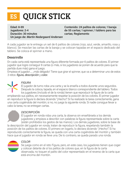## **QUICK STICK** ES<sup>1</sup>

**Edad: 8-99** Jugadores: 2-4 Duración: 30 minutos Un juego de: Martin Nedargaard Andersen

Contenido: 24 palitos de colores: 1 baraia de 55 cartas: 1 spinner: 1 tablero para las cartas: Reglamento

A cada jugador se le entrega un set de 6 palitos de colores (rojo, azul, verde, amarillo, rosa y blanco). Se mezclan las cartas de la baraja y se colocan tapadas en el espacio dedicado del tablero. Se coloca el spinner a mano.

## Desarrollo

En cada carta está representada una figura diferente formada por 6 palitos de colores. El primer jugador que logre conseguir 8 cartas (o más, si los jugadores se ponen de acuerdo para que la partida dure más) gana el juego.

Empieza el jugador... ¡más delgado! Tiene que girar el spinner, que va a determinar uno de estos 3 retos: figura, descripción y color.



## **FIGURA**

El jugador de turno roba una carta y se la enseña a todos durante unos segundos. Después la coloca, tapada, en el espacio blanco correspondiente del tablero. Todos los jugadores (incluido el de la ronda) tienen que reproducir la figura de la carta

empleando sus palitos, sin necesariamente respetar la posición de los colores. El primer jugador en reproducir la figura lo declara diciendo "¡Hecho!". Si ha realizado la tarea correctamente, gana una carta cogiéndola del montón; si no, no juega la siguiente ronda. Si nadie consigue llevar a cabo la tarea, no se entregan cartas.

## **DESCRIPCIÓN**

El jugador en ronda roba una carta, la observa sin enseñársela a los demás jugadores y empieza a describir con palabras la figura representada sobre la carta (están prohibidos los gestos de las manos). Los demás jugadores, sobre la base de la descripción del jugador en ronda, tratan de reproducir la figura, respetando también la posición de los palitos de colores. El primero en logarlo, lo declara diciendo "¡Hecho!" Si ha reproducido correctamente la figura, se queda con una carta cogiéndola del montón y también hace que el jugador en ronda se lleve una. De lo contrario, se queda parado una ronda.



### COLOR

Se juega como en el reto Figura, pero, en este caso, los jugadores tienen que coger y colocar delante de sí los palitos de colores que, en la figura de la carta observada, no toquen el palito del color representado en el reverso de la carta que está encima del montón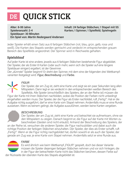# **QUICK STICK**

Alter: 8-99 Jahre Spieleranzahl: 2-4 Spieldauer: 30 Minuten Ein Spiel von: Martin Nedergaard Andersen

Inhalt: 24 farbige Stäbchen; 1 Stapel mit 55 Karten; 1 Spinner; 1 Spielfeld; Spielregeln

Jeder Spieler erhält einen Satz aus 6 farbigen Stäbchen (rot, blau, grün, gelb, rosa und weiß). Die Karten des Stapels werden gemischt und verdeckt im entsprechenden grauen Bereich des Spielfelds angeordnet. Der Spinner wird in Reichweite gehalten.

## Spielablauf

Auf jeder Karte ist eine andere, jeweils aus 6 farbigen Stäbchen bestehende Figur abgebildet. Der Spieler, der als Erster 8 Karten (oder auch mehr, wenn sich die Spieler auf eine längere Spieldauer einigen) ergattert, ist der Gewinner.

Der "dünnste" Spieler beginnt! Er dreht den Spinner, mit dem eine der folgenden drei Wettkampfvarianten festgelegt wird: Figur, Beschreibung und Farbe.



## **FIGUR**

Der Spieler, der am Zug ist, zieht eine Karte und zeigt sie ein paar Sekunden lang allen Mitspielern. Dann legt er sie verdeckt in den entsprechenden weißen Bereich des Spielfelds. Alle Spieler (einschließlich des Spielers, der an der Reihe ist) müssen die

Figur der Karte mit ihren Stäbchen nachbilden, wobei die Position der Farben nicht unbedingt eingehalten werden muss. Der Spieler, der die Figur als Erster nachbildet, ruft "Fertig!". Hat er die Aufgabe richtig ausgeführt, darf er eine Karte vom Stapel nehmen. Andernfalls muss er eine Runde aussetzen. Wenn es keinem gelingt, die Aufgabe auszuführen, werden keine Karten vergeben.

### **BESCHREIBUNG**

Der Spieler, der am Zug ist, zieht eine Karte und betrachtet sie aufmerksam, ohne sie den Mitspielern zu zeigen. Danach beginnt er, die Figur auf der Karte mit Worten zu beschreiben (Gesten sind nicht erlaubt). Anhand der Beschreibung des Spielers, der an der Reihe ist, versuchen die anderen Spieler, die Figur nachzubilden und dabei auch die richtige Position der farbigen Stäbchen einzuhalten. Der Spieler, der dies als Erster schafft, ruft "Fertig!". Wenn er die Figur richtig nachgebildet hat, dürfen sowohl er als auch der Spieler, der

gerade am Zug war, je eine Karte vom Stapel nehmen. Andernfalls setzt er eine Runde aus.

### **FARBE**

Es wird ähnlich wie beim Wettkampf "FIGUR" gespielt, doch bei dieser Variante müssen die Spieler diejenigen farbigen Stäbchen nehmen und vor sich hinlegen, die in der Figur der betrachteten Karte nicht das Stäbchen berühren, dessen Farbe auf der Rückseite der obersten Karte des Stapels abgebildet ist.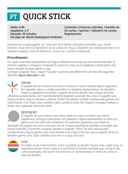## QUICK STICK PT

Idade: 8-99 Jogadores: 2-4 Duração: 30 minutos Um jogo de: Martin Nedergaard Andersen Conteúdo: 24 barras coloridas, 1 baralho de 55 cartas, 1 spinner; 1 tabuleiro de cartas; Regulamento

Distribui-se a cada jogador um conjunto de 6 barras coloridas (vermelho, azul, verde, amarelo, rosa, branco). Baralham-se as cartas do maço e dispõem-se viradas para baixo no respetivo espaço cinza do tabuleiro. Coloca-se o spinner preparado.

## Procedimento

Em cada carta está representada uma figura diferente composta por seis barras coloridas. O primeiro jogador a conseguir conquistar 8 cartas (ou mais, se os jogadores combinarem uma maior duração do jogo) ganha o jogo.

Começa o jogador mais... magro! Faz girar o spinner para determinar um dos três seguintes desafios: figura, descrição e cor.



## FIGURA

O iogador de turno pesca uma carta e mostra-a a todos durante alguns segundos. Em seguida, coloca-a virada para baixo no respetivo espaco branco do tabuleiro. Todos os jogadores (incluindo o jogador de turno) devem criar a figura da carta

utilizando as suas barras, sem necessariamente respeitar a posição das cores. O jogador que recriar primeiro a figura, declara-o dizendo "Feito!". Se realizou a tarefa corretamente, ganha uma carta tirando-a do maco, caso contrário, salta o próximo turno. Se ninguém conseguir realizar a tarefa não é atribuída nenhuma carta

## DESCRIÇÃO

O jogador de turno pesca uma carta, observa-a sem a mostrar aos outros jogadores e começa a descrever com palavras a figura apresentada na carta (os gestos com as mãos são proibidos). Os restantes jogadores, com base na descrição do jogador de turno, procuram recriar a figura respeitando também a posição das barras coloridas. O primeiro a acabar, declara-o dizendo "Feito!" Se tiver reproduzido corretamente a figura, ganha uma carta tirando-a do maço e faz com que o jogador de turno também ganhe uma. Caso contrário, fica sem ir a jogo um turno.



## COR

Procede-se da mesma forma como sucedida no desafio Figura, mas, neste caso, os jogadores devem tirar e colocar à sua frente as barras coloridas que, na figura da carta observada, não tocam na barra da cor representada no verso da carta no topo do baralho.